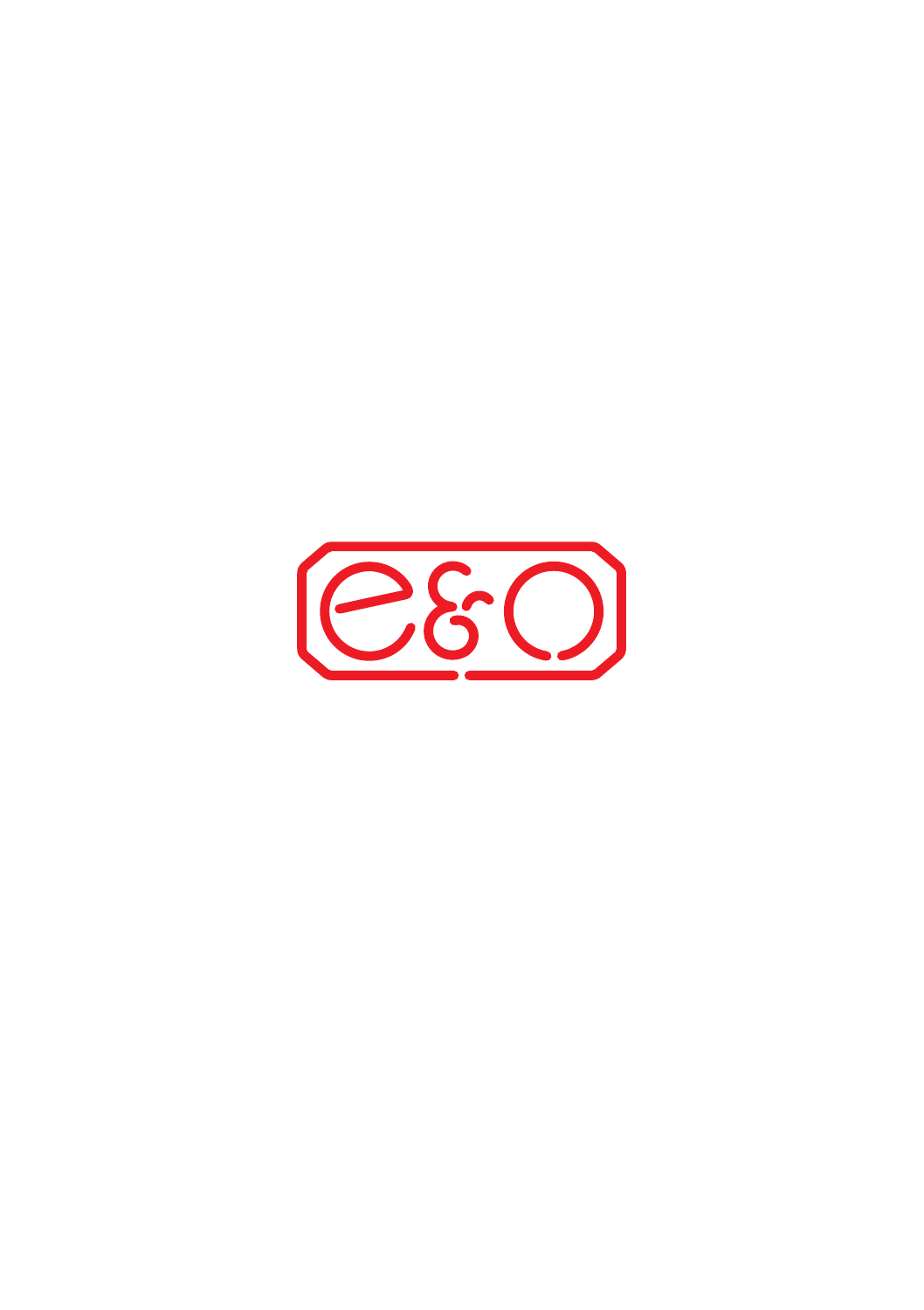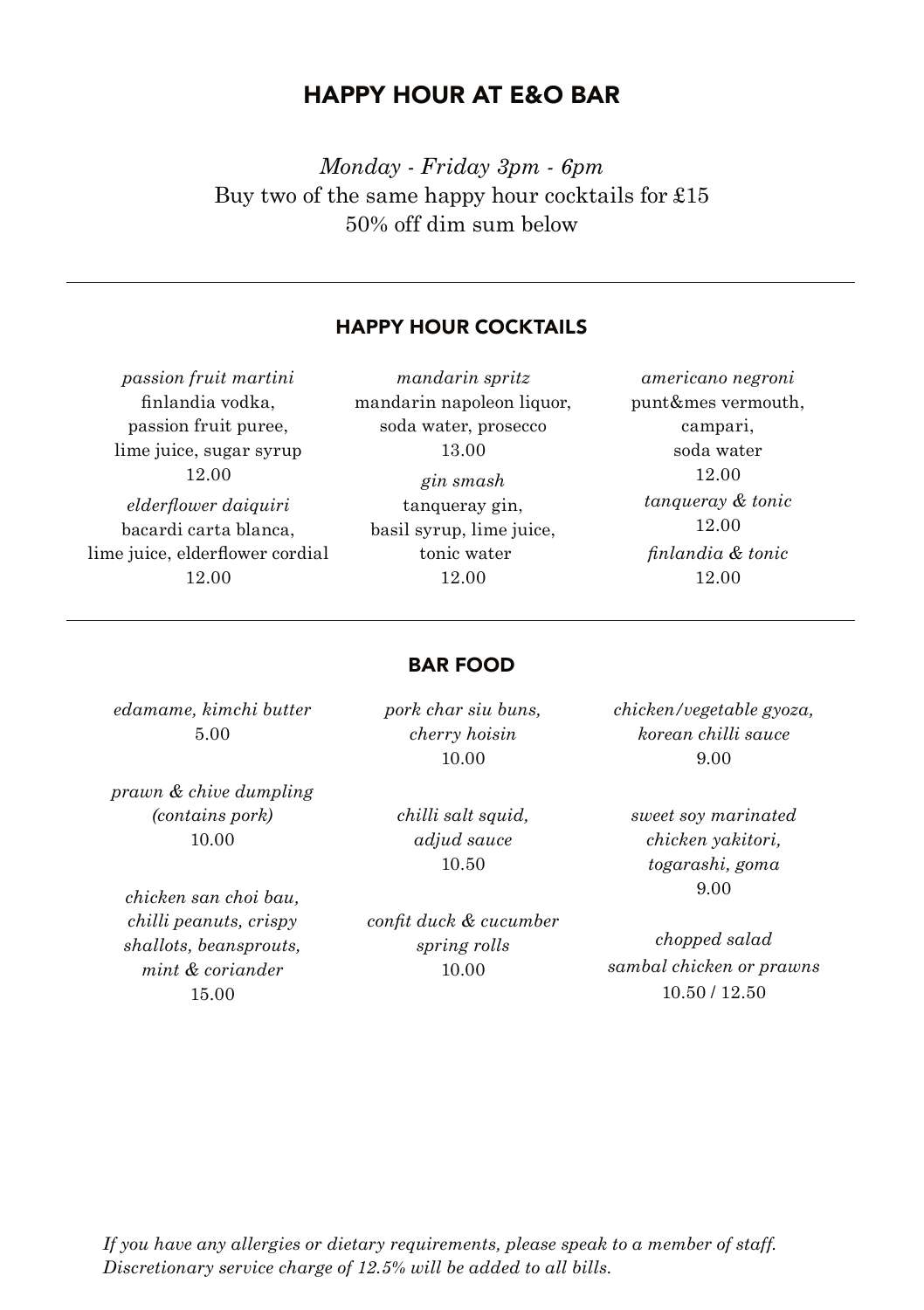### HAPPY HOUR AT E&O BAR

*Monday - Friday 3pm - 6pm* Buy two of the same happy hour cocktails for £15 50% off dim sum below

#### HAPPY HOUR COCKTAILS

*passion fruit martini* finlandia vodka, passion fruit puree, lime juice, sugar syrup 12.00 *elderflower daiquiri* bacardi carta blanca, lime juice, elderflower cordial 12.00

*mandarin spritz*  mandarin napoleon liquor, soda water, prosecco 13.00 *gin smash*  tanqueray gin. basil syrup, lime juice, tonic water 12.00

*americano negroni* punt&mes vermouth, campari, soda water 12.00 *tanqueray & tonic* 12.00 *finlandia & tonic* 12.00

### BAR FOOD

*edamame, kimchi butter* 5.00

*prawn & chive dumpling (contains pork)* 10.00

*chicken san choi bau, chilli peanuts, crispy shallots, beansprouts, mint & coriander* 15.00

*pork char siu buns, cherry hoisin* 10.00

*chilli salt squid, adjud sauce*  10.50

*confit duck & cucumber spring rolls*  10.00

*chicken/vegetable gyoza, korean chilli sauce* 9.00

*sweet soy marinated chicken yakitori, togarashi, goma*  9.00

*chopped salad sambal chicken or prawns* 10.50 / 12.50

*If you have any allergies or dietary requirements, please speak to a member of staff. Discretionary service charge of 12.5% will be added to all bills.*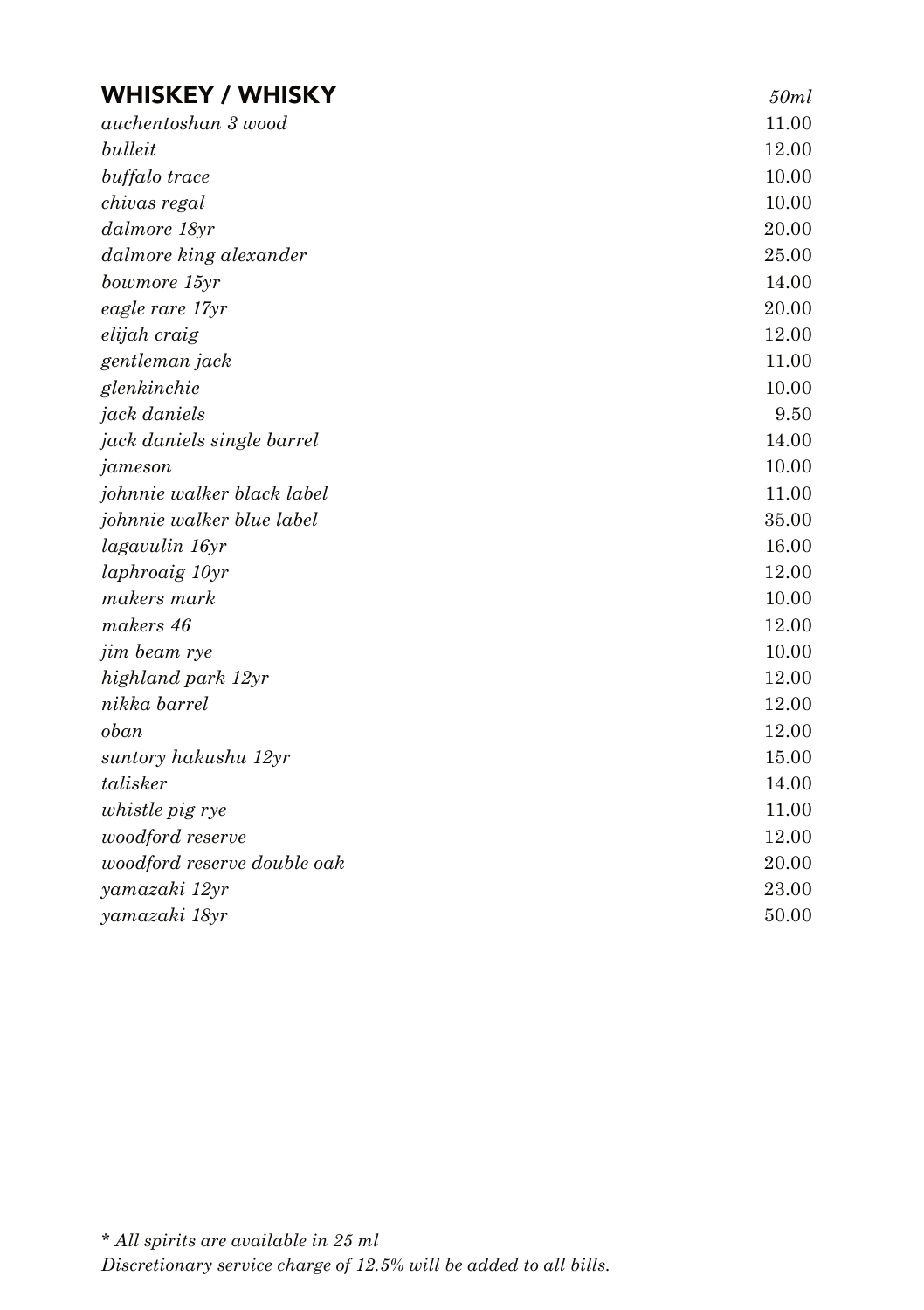| <b>WHISKEY / WHISKY</b>     | 50ml  |
|-----------------------------|-------|
| auchentoshan 3 wood         | 11.00 |
| bulleit                     | 12.00 |
| buffalo trace               | 10.00 |
| chivas regal                | 10.00 |
| dalmore 18yr                | 20.00 |
| dalmore king alexander      | 25.00 |
| bowmore 15yr                | 14.00 |
| eagle rare 17yr             | 20.00 |
| elijah craig                | 12.00 |
| gentleman jack              | 11.00 |
| glenkinchie                 | 10.00 |
| jack daniels                | 9.50  |
| jack daniels single barrel  | 14.00 |
| jameson                     | 10.00 |
| johnnie walker black label  | 11.00 |
| johnnie walker blue label   | 35.00 |
| lagavulin 16yr              | 16.00 |
| laphroaig 10yr              | 12.00 |
| makers mark                 | 10.00 |
| makers 46                   | 12.00 |
| jim beam rye                | 10.00 |
| highland park 12yr          | 12.00 |
| nikka barrel                | 12.00 |
| oban                        | 12.00 |
| suntory hakushu 12yr        | 15.00 |
| talisker                    | 14.00 |
| whistle pig rye             | 11.00 |
| woodford reserve            | 12.00 |
| woodford reserve double oak | 20.00 |
| yamazaki 12yr               | 23.00 |
| yamazaki 18yr               | 50.00 |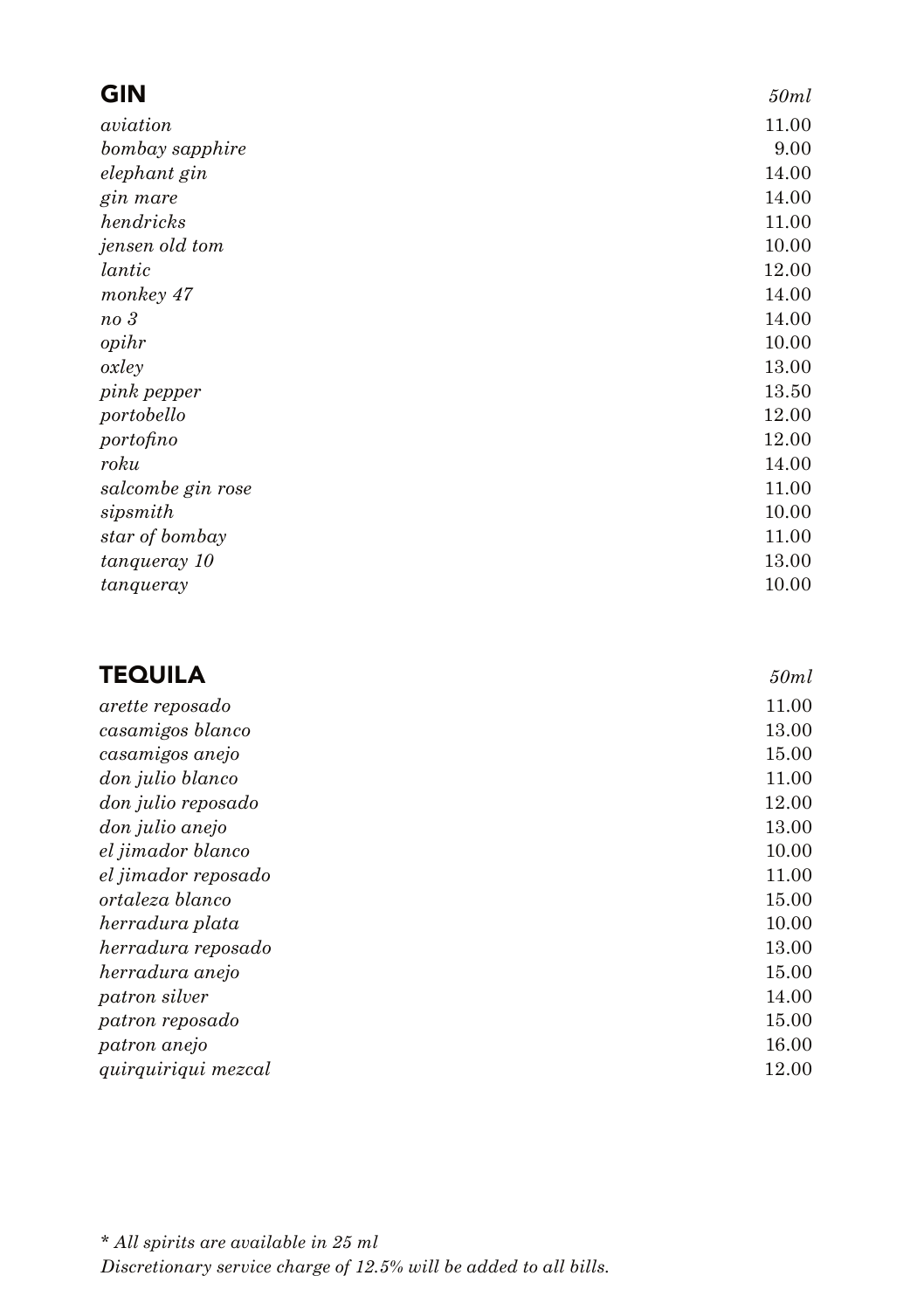| <b>GIN</b>            | 50ml  |
|-----------------------|-------|
| aviation              | 11.00 |
| bombay sapphire       | 9.00  |
| elephant gin          | 14.00 |
| gin mare              | 14.00 |
| hendricks             | 11.00 |
| <i>jensen old tom</i> | 10.00 |
| lantic                | 12.00 |
| monkey 47             | 14.00 |
| no <sub>3</sub>       | 14.00 |
| opihr                 | 10.00 |
| $\alpha$              | 13.00 |
| pink pepper           | 13.50 |
| portobello            | 12.00 |
| portofino             | 12.00 |
| roku                  | 14.00 |
| salcombe gin rose     | 11.00 |
| sipsmith              | 10.00 |
| star of bombay        | 11.00 |
| tangueray 10          | 13.00 |
| tangueray             | 10.00 |

# TEQUILA *50ml*

| arette reposado      | 11.00 |
|----------------------|-------|
| casamigos blanco     | 13.00 |
| casamigos anejo      | 15.00 |
| don julio blanco     | 11.00 |
| don julio reposado   | 12.00 |
| don julio anejo      | 13.00 |
| el jimador blanco    | 10.00 |
| el jimador reposado  | 11.00 |
| ortaleza blanco      | 15.00 |
| herradura plata      | 10.00 |
| herradura reposado   | 13.00 |
| herradura anejo      | 15.00 |
| <i>patron silver</i> | 14.00 |
| patron reposado      | 15.00 |
| <i>patron</i> anejo  | 16.00 |
| quirquiriqui mezcal  | 12.00 |
|                      |       |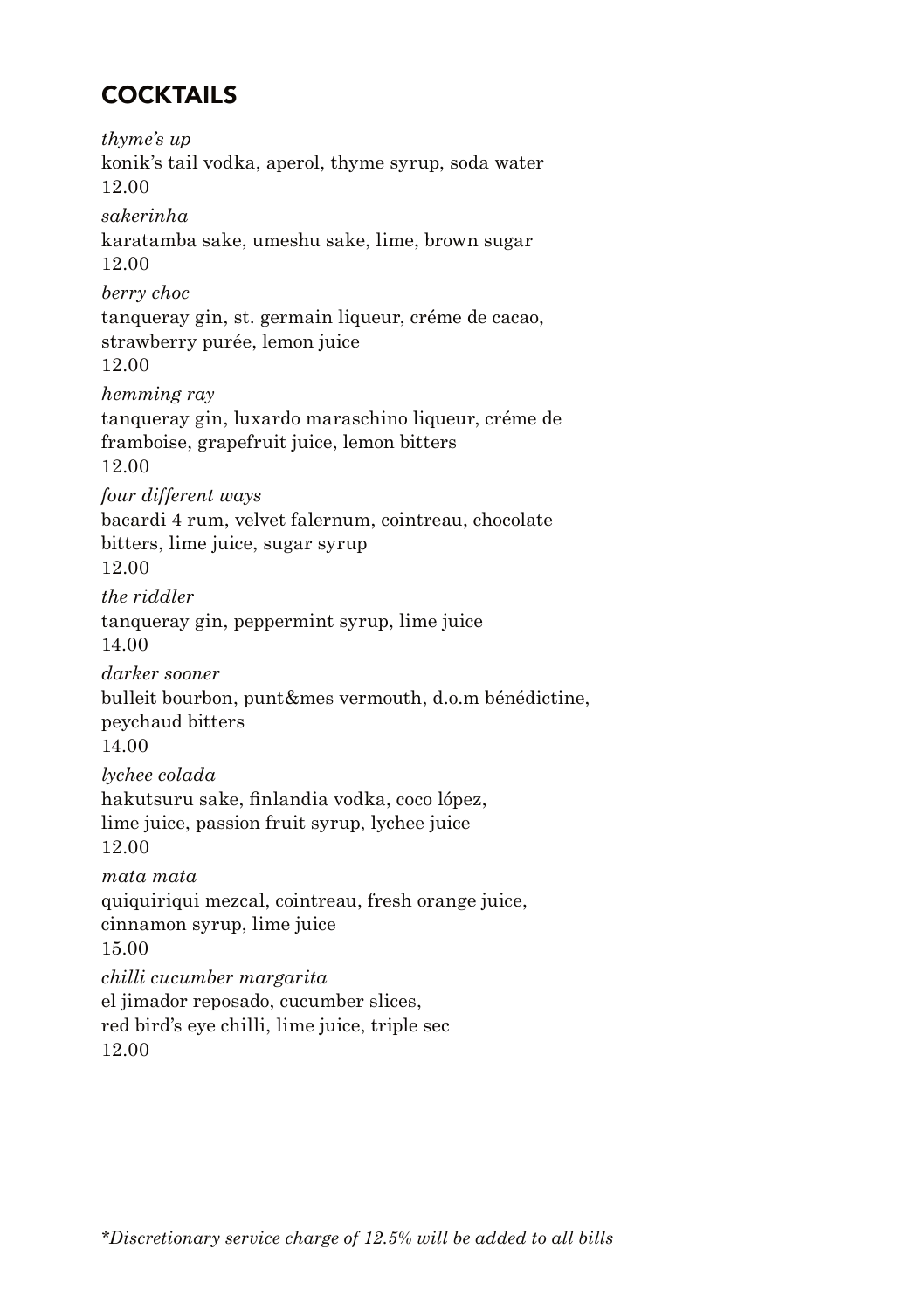# **COCKTAILS**

*thyme's up* konik's tail vodka, aperol, thyme syrup, soda water 12.00 *sakerinha* karatamba sake, umeshu sake, lime, brown sugar 12.00 *berry choc* tanqueray gin, st. germain liqueur, créme de cacao, strawberry purée, lemon juice 12.00 *hemming ray* tanqueray gin, luxardo maraschino liqueur, créme de framboise, grapefruit juice, lemon bitters 12.00 *four different ways*  bacardi 4 rum, velvet falernum, cointreau, chocolate bitters, lime juice, sugar syrup 12.00 *the riddler* tanqueray gin, peppermint syrup, lime juice 14.00 *darker sooner* bulleit bourbon, punt&mes vermouth, d.o.m bénédictine, peychaud bitters 14.00 *lychee colada* hakutsuru sake, finlandia vodka, coco lópez, lime juice, passion fruit syrup, lychee juice 12.00 *mata mata* quiquiriqui mezcal, cointreau, fresh orange juice, cinnamon syrup, lime juice 15.00 *chilli cucumber margarita* el jimador reposado, cucumber slices, red bird's eye chilli, lime juice, triple sec 12.00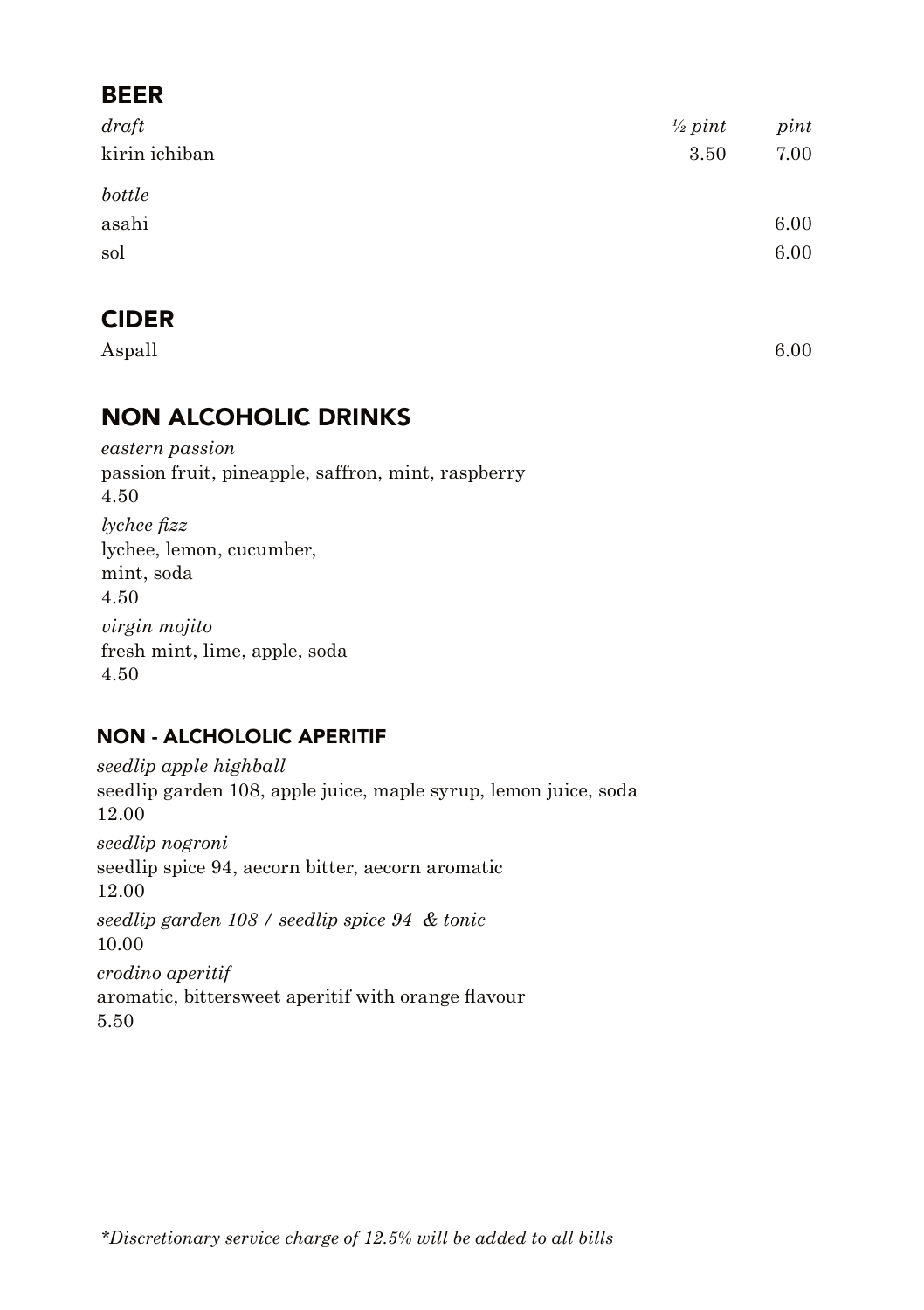### BEER

| $dr$ aft      | $\frac{1}{2}$ pint | pint |
|---------------|--------------------|------|
| kirin ichiban | 3.50               | 7.00 |
| bottle        |                    |      |
| asahi         |                    | 6.00 |
| sol           |                    | 6.00 |
|               |                    |      |
|               |                    |      |

## CIDER

Aspall 6.00 and 5.000 and 5.000 and 5.000 and 5.000 and 5.000 and 5.000 and 5.000 and 5.000 and 5.000 and 5.00

# NON ALCOHOLIC DRINKS

*eastern passion* passion fruit, pineapple, saffron, mint, raspberry 4.50 *lychee fizz* lychee, lemon, cucumber, mint, soda 4.50 *virgin mojito* fresh mint, lime, apple, soda 4.50

### NON - ALCHOLOLIC APERITIF

*seedlip apple highball* seedlip garden 108, apple juice, maple syrup, lemon juice, soda 12.00 *seedlip nogroni* seedlip spice 94, aecorn bitter, aecorn aromatic 12.00 *seedlip garden 108 / seedlip spice 94 & tonic* 10.00 *crodino aperitif* aromatic, bittersweet aperitif with orange flavour 5.50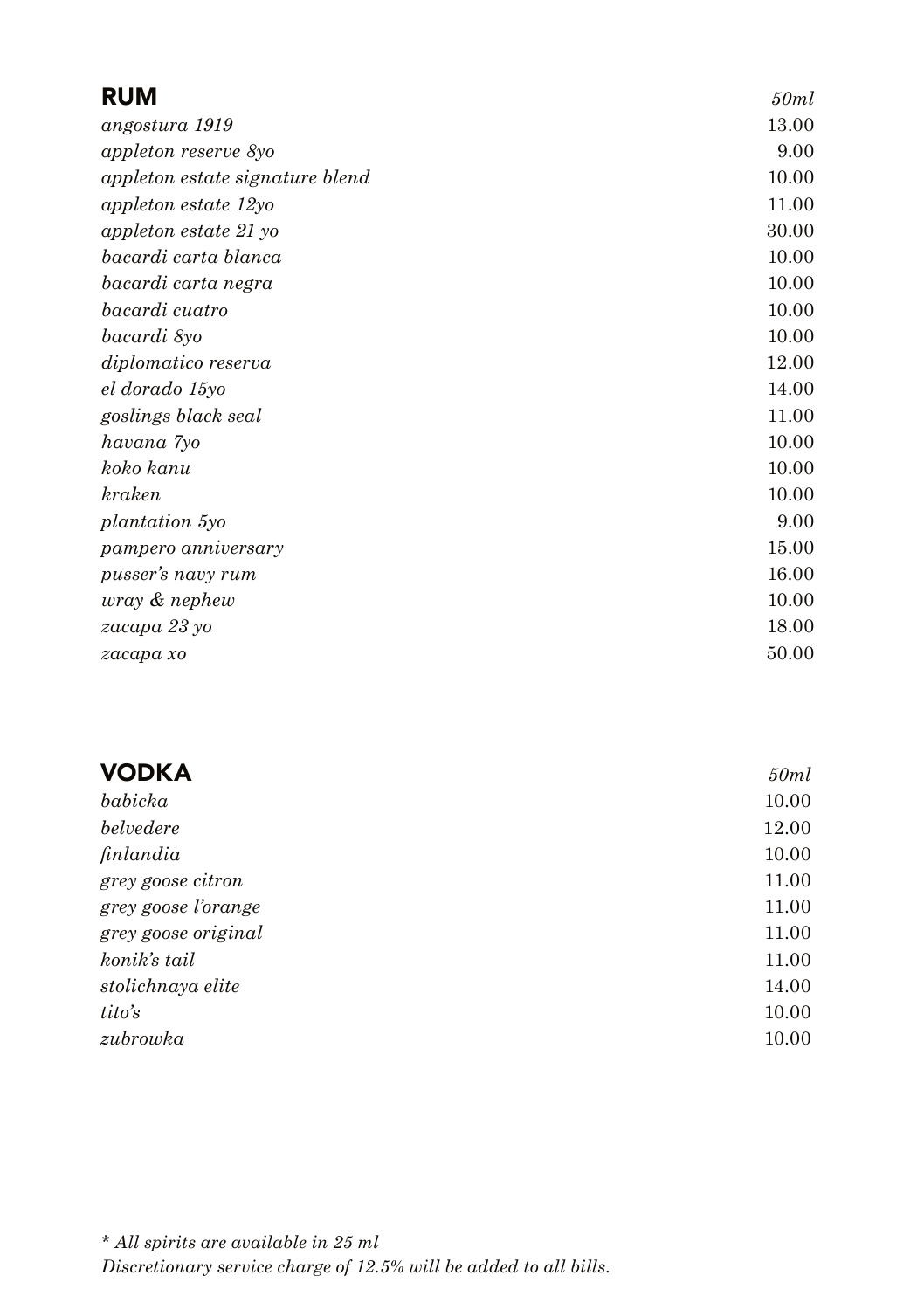| <b>RUM</b>                      | 50ml  |
|---------------------------------|-------|
| angostura 1919                  | 13.00 |
| appleton reserve 8yo            | 9.00  |
| appleton estate signature blend | 10.00 |
| appleton estate 12yo            | 11.00 |
| appleton estate 21 yo           | 30.00 |
| bacardi carta blanca            | 10.00 |
| bacardi carta negra             | 10.00 |
| bacardi cuatro                  | 10.00 |
| bacardi 8yo                     | 10.00 |
| <i>diplomatico reserva</i>      | 12.00 |
| el dorado 15yo                  | 14.00 |
| goslings black seal             | 11.00 |
| havana 7yo                      | 10.00 |
| koko kanu                       | 10.00 |
| kraken                          | 10.00 |
| plantation 5yo                  | 9.00  |
| <i>pampero anniversary</i>      | 15.00 |
| pusser's navy rum               | 16.00 |
| wray & nephew                   | 10.00 |
| zacapa 23 yo                    | 18.00 |
| zacapa xo                       | 50.00 |

| <b>VODKA</b>        | 50ml  |
|---------------------|-------|
| babicka             | 10.00 |
| belvedere           | 12.00 |
| finlandia           | 10.00 |
| grey goose citron   | 11.00 |
| grey goose l'orange | 11.00 |
| grey goose original | 11.00 |
| konik's tail        | 11.00 |
| stolichnaya elite   | 14.00 |
| tito's              | 10.00 |
| zubrowka            | 10.00 |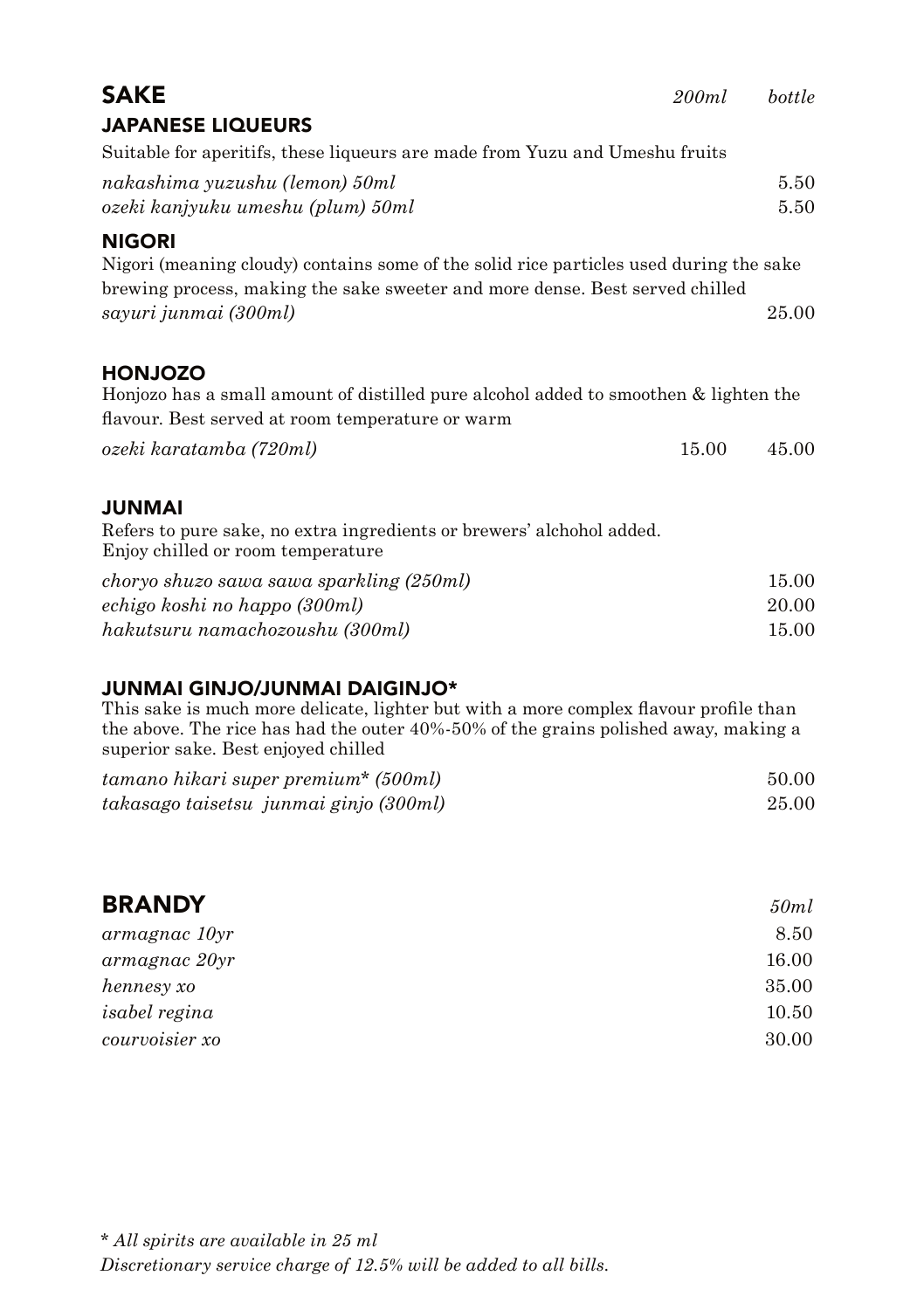| <b>SAKE</b>                                                                                                                                                                                                      | 200ml | bottle         |
|------------------------------------------------------------------------------------------------------------------------------------------------------------------------------------------------------------------|-------|----------------|
| <b>JAPANESE LIQUEURS</b>                                                                                                                                                                                         |       |                |
| Suitable for aperitifs, these liqueurs are made from Yuzu and Umeshu fruits                                                                                                                                      |       |                |
| nakashima yuzushu (lemon) 50ml<br>ozeki kanjyuku umeshu (plum) 50ml                                                                                                                                              |       | 5.50<br>5.50   |
| <b>NIGORI</b><br>Nigori (meaning cloudy) contains some of the solid rice particles used during the sake<br>brewing process, making the sake sweeter and more dense. Best served chilled<br>sayuri junmai (300ml) |       | 25.00          |
| <b>HONJOZO</b><br>Honjozo has a small amount of distilled pure alcohol added to smoothen & lighten the<br>flavour. Best served at room temperature or warm                                                       |       |                |
| ozeki karatamba (720ml)                                                                                                                                                                                          | 15.00 | 45.00          |
| <b>JUNMAI</b><br>Refers to pure sake, no extra ingredients or brewers' alchohol added.<br>Enjoy chilled or room temperature                                                                                      |       |                |
| choryo shuzo sawa sawa sparkling (250ml)<br>echigo koshi no happo (300ml)                                                                                                                                        |       | 15.00<br>20.00 |
|                                                                                                                                                                                                                  |       |                |

### JUNMAI GINJO/JUNMAI DAIGINJO\*

This sake is much more delicate, lighter but with a more complex flavour profile than the above. The rice has had the outer 40%-50% of the grains polished away, making a superior sake. Best enjoyed chilled

*hakutsuru namachozoushu (300ml)* 15.00

| tamano hikari super premium* (500ml)   | 50.00 |
|----------------------------------------|-------|
| takasago taisetsu junmai ginjo (300ml) | 25.00 |

| <b>BRANDY</b>        | 50ml  |
|----------------------|-------|
| armagnac 10yr        | 8.50  |
| armagnac 20yr        | 16.00 |
| hennesy xo           | 35.00 |
| <i>isabel regina</i> | 10.50 |
| courvoisier xo       | 30.00 |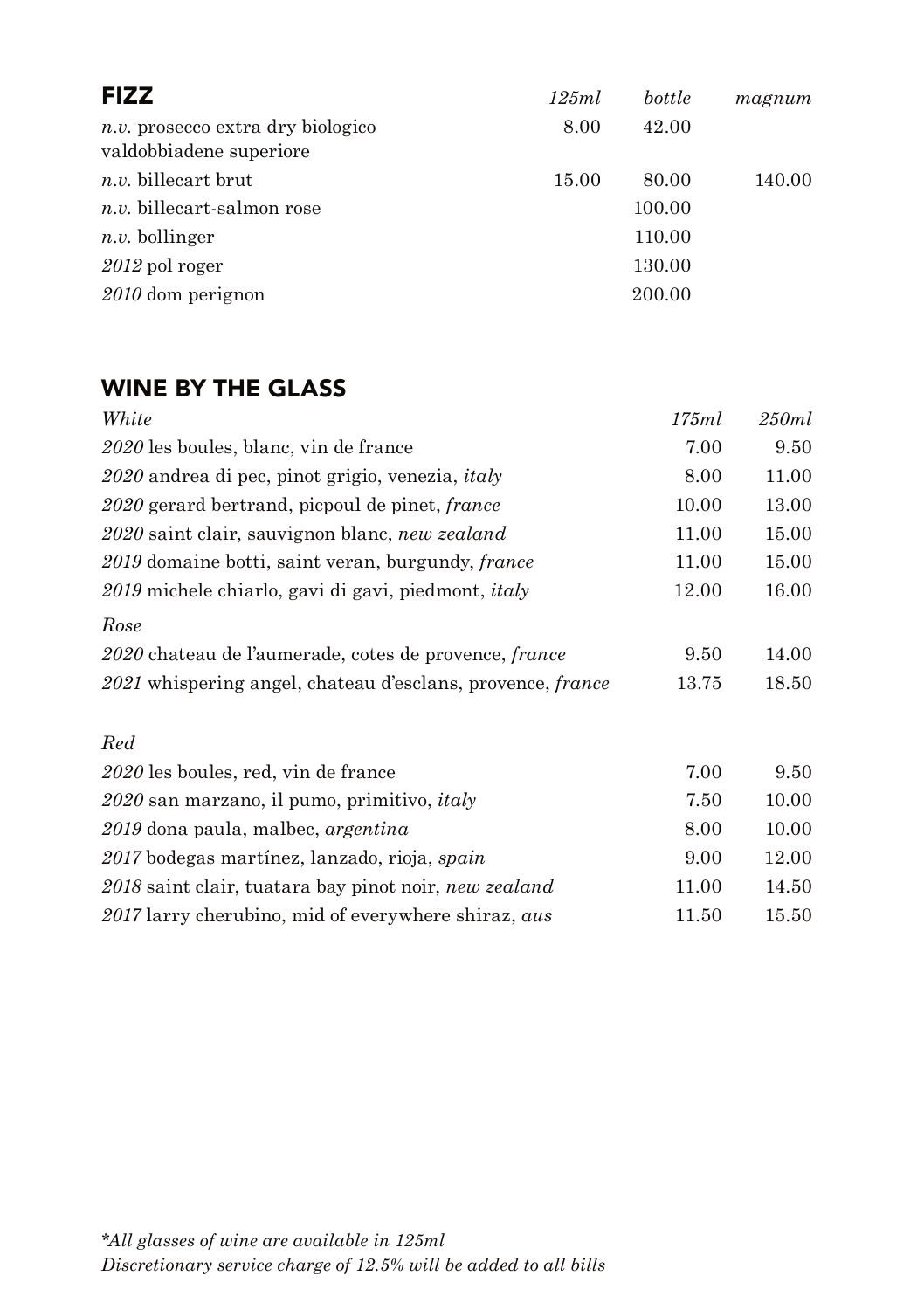| <b>FIZZ</b>                                                         | 125ml | bottle | magnum |
|---------------------------------------------------------------------|-------|--------|--------|
| <i>n.v.</i> prosecco extra dry biologico<br>valdobbiadene superiore | 8.00  | 42.00  |        |
| $n.v.$ billecart brut                                               | 15.00 | 80.00  | 140.00 |
| $n.v.$ billecart-salmon rose                                        |       | 100.00 |        |
| $n.v.$ bollinger                                                    |       | 110.00 |        |
| $2012$ pol roger                                                    |       | 130.00 |        |
| $2010$ dom perignon                                                 |       | 200.00 |        |
|                                                                     |       |        |        |

# WINE BY THE GLASS

| White                                                        | 175ml | 250ml |
|--------------------------------------------------------------|-------|-------|
| 2020 les boules, blanc, vin de france                        | 7.00  | 9.50  |
| 2020 andrea di pec, pinot grigio, venezia, <i>italy</i>      | 8.00  | 11.00 |
| 2020 gerard bertrand, picpoul de pinet, <i>france</i>        | 10.00 | 13.00 |
| 2020 saint clair, sauvignon blanc, new zealand               | 11.00 | 15.00 |
| 2019 domaine botti, saint veran, burgundy, <i>france</i>     | 11.00 | 15.00 |
| 2019 michele chiarlo, gavi di gavi, piedmont, <i>italy</i>   | 12.00 | 16.00 |
| Rose                                                         |       |       |
| 2020 chateau de l'aumerade, cotes de provence, <i>france</i> | 9.50  | 14.00 |
| 2021 whispering angel, chateau d'esclans, provence, france   | 13.75 | 18.50 |
| Red                                                          |       |       |
| 2020 les boules, red, vin de france                          | 7.00  | 9.50  |
| 2020 san marzano, il pumo, primitivo, <i>italy</i>           | 7.50  | 10.00 |
| 2019 dona paula, malbec, <i>argentina</i>                    | 8.00  | 10.00 |
| $2017$ bodegas martínez, lanzado, rioja, spain               | 9.00  | 12.00 |
| 2018 saint clair, tuatara bay pinot noir, new zealand        | 11.00 | 14.50 |
| $2017$ larry cherubino, mid of everywhere shiraz, aus        | 11.50 | 15.50 |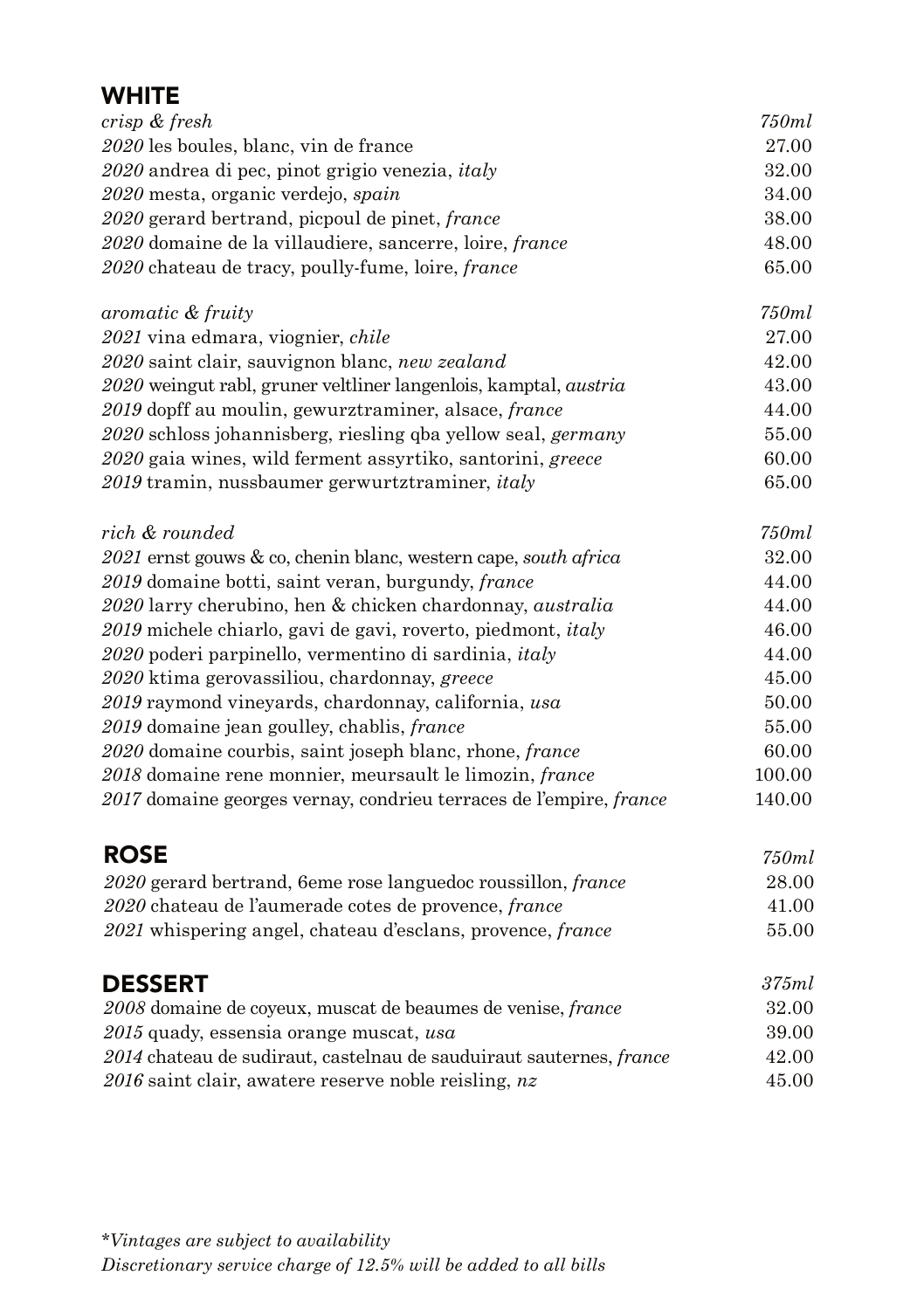| WHITE                                                                   |        |
|-------------------------------------------------------------------------|--------|
| crisp & fresh                                                           | 750ml  |
| 2020 les boules, blanc, vin de france                                   | 27.00  |
| 2020 andrea di pec, pinot grigio venezia, italy                         | 32.00  |
| 2020 mesta, organic verdejo, spain                                      | 34.00  |
| 2020 gerard bertrand, picpoul de pinet, france                          | 38.00  |
| 2020 domaine de la villaudiere, sancerre, loire, france                 | 48.00  |
| 2020 chateau de tracy, poully-fume, loire, france                       | 65.00  |
| aromatic & fruity                                                       | 750ml  |
| 2021 vina edmara, viognier, <i>chile</i>                                | 27.00  |
| 2020 saint clair, sauvignon blanc, new zealand                          | 42.00  |
| 2020 weingut rabl, gruner veltliner langenlois, kamptal, <i>austria</i> | 43.00  |
| 2019 dopff au moulin, gewurztraminer, alsace, <i>france</i>             | 44.00  |
| 2020 schloss johannisberg, riesling qba yellow seal, germany            | 55.00  |
| 2020 gaia wines, wild ferment assyrtiko, santorini, greece              | 60.00  |
| 2019 tramin, nussbaumer gerwurtztraminer, italy                         | 65.00  |
| rich & rounded                                                          | 750ml  |
| 2021 ernst gouws & co, chenin blanc, western cape, south africa         | 32.00  |
| 2019 domaine botti, saint veran, burgundy, france                       | 44.00  |
| 2020 larry cherubino, hen & chicken chardonnay, <i>australia</i>        | 44.00  |
| 2019 michele chiarlo, gavi de gavi, roverto, piedmont, italy            | 46.00  |
| 2020 poderi parpinello, vermentino di sardinia, <i>italy</i>            | 44.00  |
| 2020 ktima gerovassiliou, chardonnay, greece                            | 45.00  |
| 2019 raymond vineyards, chardonnay, california, usa                     | 50.00  |
| 2019 domaine jean goulley, chablis, france                              | 55.00  |
| 2020 domaine courbis, saint joseph blanc, rhone, france                 | 60.00  |
| 2018 domaine rene monnier, meursault le limozin, france                 | 100.00 |
| 2017 domaine georges vernay, condrieu terraces de l'empire, france      | 140.00 |
| <b>ROSE</b>                                                             | 750ml  |
| 2020 gerard bertrand, 6eme rose languedoc roussillon, france            | 28.00  |
| 2020 chateau de l'aumerade cotes de provence, france                    | 41.00  |
| 2021 whispering angel, chateau d'esclans, provence, france              | 55.00  |
| <b>DESSERT</b>                                                          | 375ml  |
| 2008 domaine de coyeux, muscat de beaumes de venise, <i>france</i>      | 32.00  |
| 2015 quady, essensia orange muscat, usa                                 | 39.00  |
| 2014 chateau de sudiraut, castelnau de sauduiraut sauternes, france     | 42.00  |
| 2016 saint clair, awatere reserve noble reisling, $nz$                  | 45.00  |
|                                                                         |        |